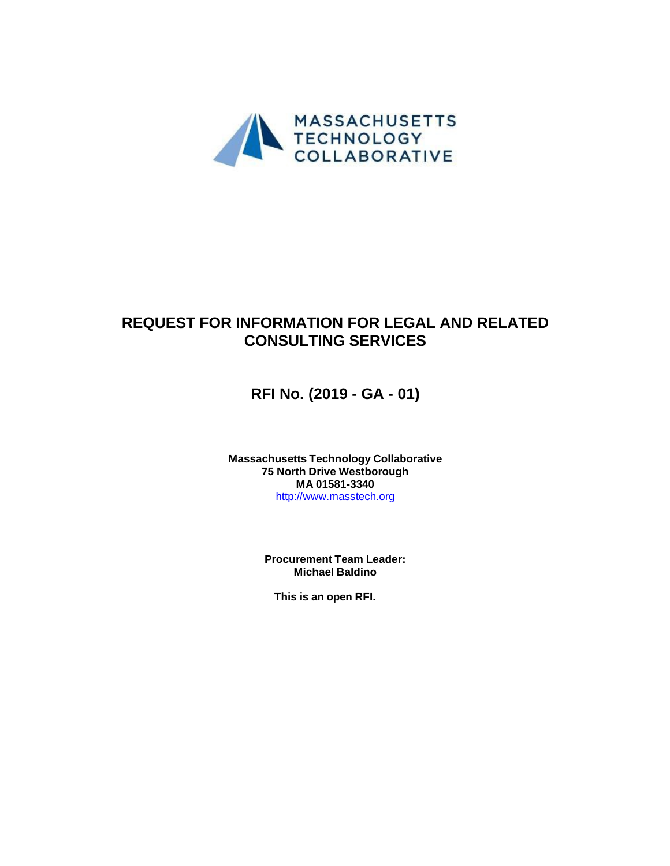

# **REQUEST FOR INFORMATION FOR LEGAL AND RELATED CONSULTING SERVICES**

**RFI No. (2019 - GA - 01)**

**Massachusetts Technology Collaborative 75 North Drive Westborough MA 01581-3340**  http://www.masstech.org

> **Procurement Team Leader: Michael Baldino**

**This is an open RFI.**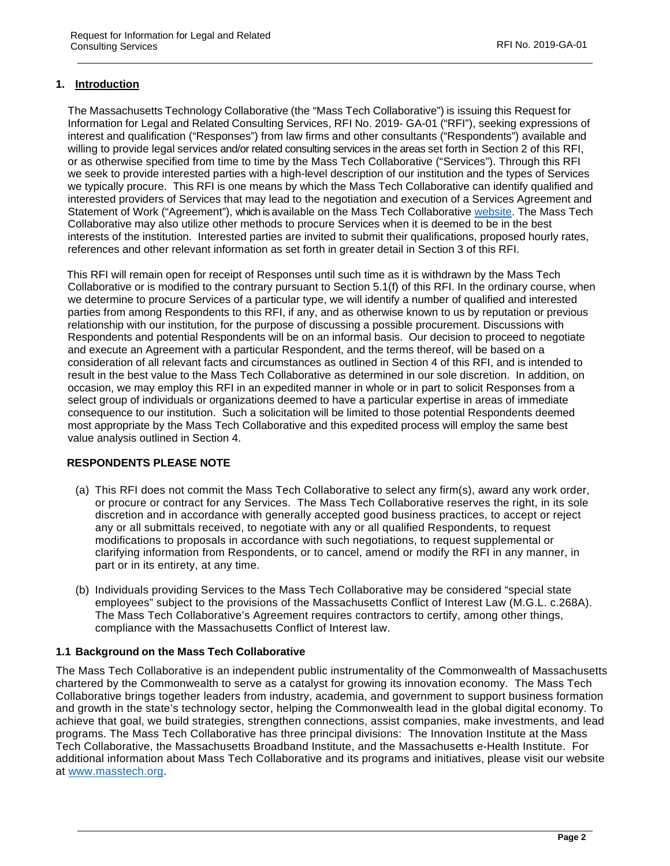# **1. Introduction**

The Massachusetts Technology Collaborative (the "Mass Tech Collaborative") is issuing this Request for Information for Legal and Related Consulting Services, RFI No. 2019- GA-01 ("RFI"), seeking expressions of interest and qualification ("Responses") from law firms and other consultants ("Respondents") available and willing to provide legal services and/or related consulting services in the areas set forth in Section 2 of this RFI, or as otherwise specified from time to time by the Mass Tech Collaborative ("Services"). Through this RFI we seek to provide interested parties with a high-level description of our institution and the types of Services we typically procure. This RFI is one means by which the Mass Tech Collaborative can identify qualified and interested providers of Services that may lead to the negotiation and execution of a Services Agreement and Statement of Work ("Agreement"), which is available on the Mass Tech Collaborative website. The Mass Tech Collaborative may also utilize other methods to procure Services when it is deemed to be in the best interests of the institution. Interested parties are invited to submit their qualifications, proposed hourly rates, references and other relevant information as set forth in greater detail in Section 3 of this RFI.

 This RFI will remain open for receipt of Responses until such time as it is withdrawn by the Mass Tech Collaborative or is modified to the contrary pursuant to Section 5.1(f) of this RFI. In the ordinary course, when we determine to procure Services of a particular type, we will identify a number of qualified and interested parties from among Respondents to this RFI, if any, and as otherwise known to us by reputation or previous relationship with our institution, for the purpose of discussing a possible procurement. Discussions with Respondents and potential Respondents will be on an informal basis. Our decision to proceed to negotiate and execute an Agreement with a particular Respondent, and the terms thereof, will be based on a consideration of all relevant facts and circumstances as outlined in Section 4 of this RFI, and is intended to result in the best value to the Mass Tech Collaborative as determined in our sole discretion. In addition, on occasion, we may employ this RFI in an expedited manner in whole or in part to solicit Responses from a select group of individuals or organizations deemed to have a particular expertise in areas of immediate consequence to our institution. Such a solicitation will be limited to those potential Respondents deemed most appropriate by the Mass Tech Collaborative and this expedited process will employ the same best value analysis outlined in Section 4.

## **RESPONDENTS PLEASE NOTE**

- (a) This RFI does not commit the Mass Tech Collaborative to select any firm(s), award any work order, or procure or contract for any Services. The Mass Tech Collaborative reserves the right, in its sole discretion and in accordance with generally accepted good business practices, to accept or reject any or all submittals received, to negotiate with any or all qualified Respondents, to request modifications to proposals in accordance with such negotiations, to request supplemental or clarifying information from Respondents, or to cancel, amend or modify the RFI in any manner, in part or in its entirety, at any time.
- (b) Individuals providing Services to the Mass Tech Collaborative may be considered "special state employees" subject to the provisions of the Massachusetts Conflict of Interest Law (M.G.L. c.268A). The Mass Tech Collaborative's Agreement requires contractors to certify, among other things, compliance with the Massachusetts Conflict of Interest law.

## **1.1 Background on the Mass Tech Collaborative**

The Mass Tech Collaborative is an independent public instrumentality of the Commonwealth of Massachusetts chartered by the Commonwealth to serve as a catalyst for growing its innovation economy. The Mass Tech Collaborative brings together leaders from industry, academia, and government to support business formation and growth in the state's technology sector, helping the Commonwealth lead in the global digital economy. To achieve that goal, we build strategies, strengthen connections, assist companies, make investments, and lead programs. The Mass Tech Collaborative has three principal divisions: The Innovation Institute at the Mass Tech Collaborative, the Massachusetts Broadband Institute, and the Massachusetts e-Health Institute. For additional information about Mass Tech Collaborative and its programs and initiatives, please visit our website at www.masstech.org.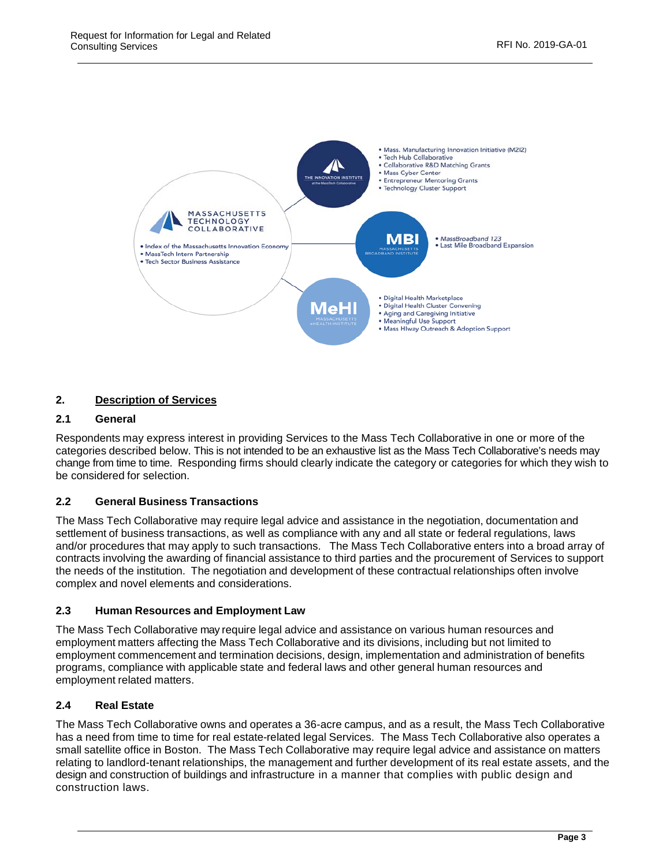

# **2. Description of Services**

# **2.1 General**

Respondents may express interest in providing Services to the Mass Tech Collaborative in one or more of the categories described below. This is not intended to be an exhaustive list as the Mass Tech Collaborative's needs may change from time to time. Responding firms should clearly indicate the category or categories for which they wish to be considered for selection.

# **2.2 General Business Transactions**

The Mass Tech Collaborative may require legal advice and assistance in the negotiation, documentation and settlement of business transactions, as well as compliance with any and all state or federal regulations, laws and/or procedures that may apply to such transactions. The Mass Tech Collaborative enters into a broad array of contracts involving the awarding of financial assistance to third parties and the procurement of Services to support the needs of the institution. The negotiation and development of these contractual relationships often involve complex and novel elements and considerations.

## **2.3 Human Resources and Employment Law**

The Mass Tech Collaborative may require legal advice and assistance on various human resources and employment matters affecting the Mass Tech Collaborative and its divisions, including but not limited to employment commencement and termination decisions, design, implementation and administration of benefits programs, compliance with applicable state and federal laws and other general human resources and employment related matters.

## **2.4 Real Estate**

The Mass Tech Collaborative owns and operates a 36-acre campus, and as a result, the Mass Tech Collaborative has a need from time to time for real estate-related legal Services. The Mass Tech Collaborative also operates a small satellite office in Boston. The Mass Tech Collaborative may require legal advice and assistance on matters relating to landlord-tenant relationships, the management and further development of its real estate assets, and the design and construction of buildings and infrastructure in a manner that complies with public design and construction laws.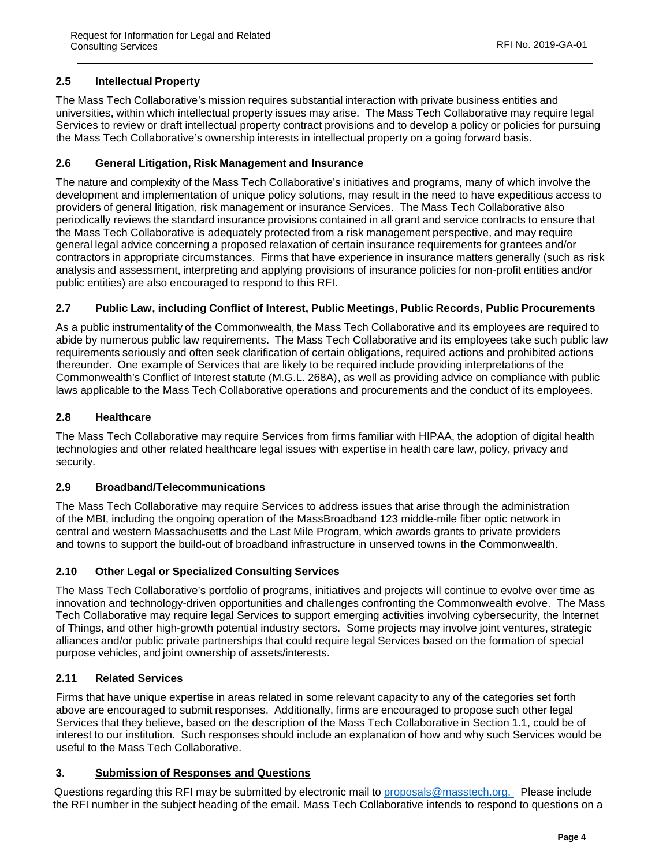# **2.5 Intellectual Property**

The Mass Tech Collaborative's mission requires substantial interaction with private business entities and universities, within which intellectual property issues may arise. The Mass Tech Collaborative may require legal Services to review or draft intellectual property contract provisions and to develop a policy or policies for pursuing the Mass Tech Collaborative's ownership interests in intellectual property on a going forward basis.

## **2.6 General Litigation, Risk Management and Insurance**

The nature and complexity of the Mass Tech Collaborative's initiatives and programs, many of which involve the development and implementation of unique policy solutions, may result in the need to have expeditious access to providers of general litigation, risk management or insurance Services. The Mass Tech Collaborative also periodically reviews the standard insurance provisions contained in all grant and service contracts to ensure that the Mass Tech Collaborative is adequately protected from a risk management perspective, and may require general legal advice concerning a proposed relaxation of certain insurance requirements for grantees and/or contractors in appropriate circumstances. Firms that have experience in insurance matters generally (such as risk analysis and assessment, interpreting and applying provisions of insurance policies for non-profit entities and/or public entities) are also encouraged to respond to this RFI.

# **2.7 Public Law, including Conflict of Interest, Public Meetings, Public Records, Public Procurements**

As a public instrumentality of the Commonwealth, the Mass Tech Collaborative and its employees are required to abide by numerous public law requirements. The Mass Tech Collaborative and its employees take such public law requirements seriously and often seek clarification of certain obligations, required actions and prohibited actions thereunder. One example of Services that are likely to be required include providing interpretations of the Commonwealth's Conflict of Interest statute (M.G.L. 268A), as well as providing advice on compliance with public laws applicable to the Mass Tech Collaborative operations and procurements and the conduct of its employees.

## **2.8 Healthcare**

The Mass Tech Collaborative may require Services from firms familiar with HIPAA, the adoption of digital health technologies and other related healthcare legal issues with expertise in health care law, policy, privacy and security.

## **2.9 Broadband/Telecommunications**

The Mass Tech Collaborative may require Services to address issues that arise through the administration of the MBI, including the ongoing operation of the MassBroadband 123 middle-mile fiber optic network in central and western Massachusetts and the Last Mile Program, which awards grants to private providers and towns to support the build-out of broadband infrastructure in unserved towns in the Commonwealth.

## **2.10 Other Legal or Specialized Consulting Services**

The Mass Tech Collaborative's portfolio of programs, initiatives and projects will continue to evolve over time as innovation and technology-driven opportunities and challenges confronting the Commonwealth evolve. The Mass Tech Collaborative may require legal Services to support emerging activities involving cybersecurity, the Internet of Things, and other high-growth potential industry sectors. Some projects may involve joint ventures, strategic alliances and/or public private partnerships that could require legal Services based on the formation of special purpose vehicles, and joint ownership of assets/interests.

## **2.11 Related Services**

Firms that have unique expertise in areas related in some relevant capacity to any of the categories set forth above are encouraged to submit responses. Additionally, firms are encouraged to propose such other legal Services that they believe, based on the description of the Mass Tech Collaborative in Section 1.1, could be of interest to our institution. Such responses should include an explanation of how and why such Services would be useful to the Mass Tech Collaborative.

## **3. Submission of Responses and Questions**

Questions regarding this RFI may be submitted by electronic mail to proposals@masstech.org. Please include the RFI number in the subject heading of the email. Mass Tech Collaborative intends to respond to questions on a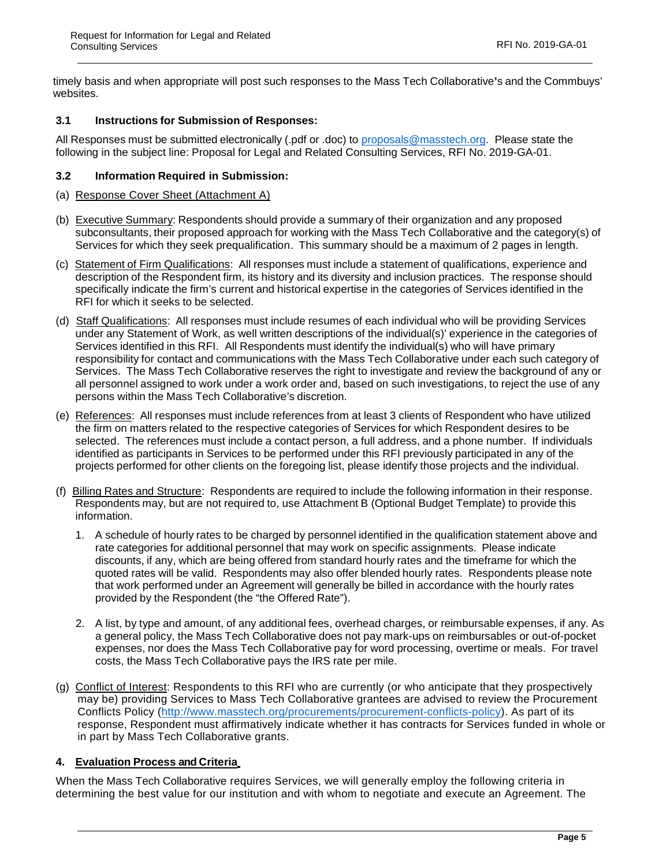timely basis and when appropriate will post such responses to the Mass Tech Collaborative**'**s and the Commbuys' websites.

#### **3.1 Instructions for Submission of Responses:**

All Responses must be submitted electronically (.pdf or .doc) to proposals@masstech.org. Please state the following in the subject line: Proposal for Legal and Related Consulting Services, RFI No. 2019-GA-01.

#### **3.2 Information Required in Submission:**

- (a) Response Cover Sheet (Attachment A)
- (b) Executive Summary: Respondents should provide a summary of their organization and any proposed subconsultants, their proposed approach for working with the Mass Tech Collaborative and the category(s) of Services for which they seek prequalification. This summary should be a maximum of 2 pages in length.
- (c) Statement of Firm Qualifications: All responses must include a statement of qualifications, experience and description of the Respondent firm, its history and its diversity and inclusion practices. The response should specifically indicate the firm's current and historical expertise in the categories of Services identified in the RFI for which it seeks to be selected.
- (d) Staff Qualifications: All responses must include resumes of each individual who will be providing Services under any Statement of Work, as well written descriptions of the individual(s)' experience in the categories of Services identified in this RFI. All Respondents must identify the individual(s) who will have primary responsibility for contact and communications with the Mass Tech Collaborative under each such category of Services. The Mass Tech Collaborative reserves the right to investigate and review the background of any or all personnel assigned to work under a work order and, based on such investigations, to reject the use of any persons within the Mass Tech Collaborative's discretion.
- (e) References: All responses must include references from at least 3 clients of Respondent who have utilized the firm on matters related to the respective categories of Services for which Respondent desires to be selected. The references must include a contact person, a full address, and a phone number. If individuals identified as participants in Services to be performed under this RFI previously participated in any of the projects performed for other clients on the foregoing list, please identify those projects and the individual.
- (f) Billing Rates and Structure: Respondents are required to include the following information in their response. Respondents may, but are not required to, use Attachment B (Optional Budget Template) to provide this information.
	- 1. A schedule of hourly rates to be charged by personnel identified in the qualification statement above and rate categories for additional personnel that may work on specific assignments. Please indicate discounts, if any, which are being offered from standard hourly rates and the timeframe for which the quoted rates will be valid. Respondents may also offer blended hourly rates. Respondents please note that work performed under an Agreement will generally be billed in accordance with the hourly rates provided by the Respondent (the "the Offered Rate").
	- 2. A list, by type and amount, of any additional fees, overhead charges, or reimbursable expenses, if any. As a general policy, the Mass Tech Collaborative does not pay mark-ups on reimbursables or out-of-pocket expenses, nor does the Mass Tech Collaborative pay for word processing, overtime or meals. For travel costs, the Mass Tech Collaborative pays the IRS rate per mile.
- (g) Conflict of Interest: Respondents to this RFI who are currently (or who anticipate that they prospectively may be) providing Services to Mass Tech Collaborative grantees are advised to review the Procurement Conflicts Policy (http://www.masstech.org/procurements/procurement-conflicts-policy). As part of its response, Respondent must affirmatively indicate whether it has contracts for Services funded in whole or in part by Mass Tech Collaborative grants.

## **4. Evaluation Process and Criteria**

When the Mass Tech Collaborative requires Services, we will generally employ the following criteria in determining the best value for our institution and with whom to negotiate and execute an Agreement. The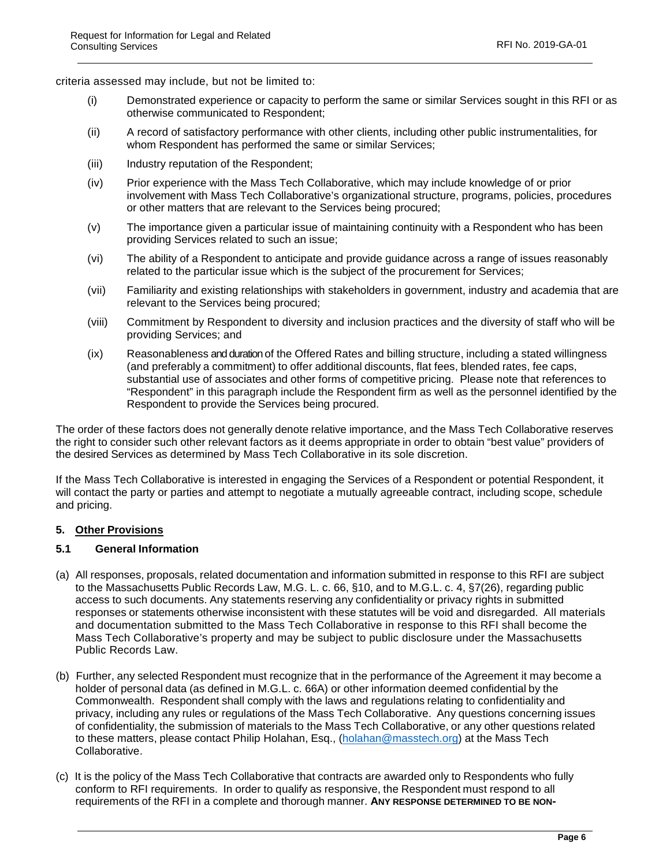criteria assessed may include, but not be limited to:

- (i) Demonstrated experience or capacity to perform the same or similar Services sought in this RFI or as otherwise communicated to Respondent;
- (ii) A record of satisfactory performance with other clients, including other public instrumentalities, for whom Respondent has performed the same or similar Services;
- (iii) Industry reputation of the Respondent;
- (iv) Prior experience with the Mass Tech Collaborative, which may include knowledge of or prior involvement with Mass Tech Collaborative's organizational structure, programs, policies, procedures or other matters that are relevant to the Services being procured;
- (v) The importance given a particular issue of maintaining continuity with a Respondent who has been providing Services related to such an issue;
- (vi) The ability of a Respondent to anticipate and provide guidance across a range of issues reasonably related to the particular issue which is the subject of the procurement for Services;
- (vii) Familiarity and existing relationships with stakeholders in government, industry and academia that are relevant to the Services being procured;
- (viii) Commitment by Respondent to diversity and inclusion practices and the diversity of staff who will be providing Services; and
- (ix) Reasonableness and duration of the Offered Rates and billing structure, including a stated willingness (and preferably a commitment) to offer additional discounts, flat fees, blended rates, fee caps, substantial use of associates and other forms of competitive pricing. Please note that references to "Respondent" in this paragraph include the Respondent firm as well as the personnel identified by the Respondent to provide the Services being procured.

The order of these factors does not generally denote relative importance, and the Mass Tech Collaborative reserves the right to consider such other relevant factors as it deems appropriate in order to obtain "best value" providers of the desired Services as determined by Mass Tech Collaborative in its sole discretion.

If the Mass Tech Collaborative is interested in engaging the Services of a Respondent or potential Respondent, it will contact the party or parties and attempt to negotiate a mutually agreeable contract, including scope, schedule and pricing.

#### **5. Other Provisions**

#### **5.1 General Information**

- (a) All responses, proposals, related documentation and information submitted in response to this RFI are subject to the Massachusetts Public Records Law, M.G. L. c. 66, §10, and to M.G.L. c. 4, §7(26), regarding public access to such documents. Any statements reserving any confidentiality or privacy rights in submitted responses or statements otherwise inconsistent with these statutes will be void and disregarded. All materials and documentation submitted to the Mass Tech Collaborative in response to this RFI shall become the Mass Tech Collaborative's property and may be subject to public disclosure under the Massachusetts Public Records Law.
- (b) Further, any selected Respondent must recognize that in the performance of the Agreement it may become a holder of personal data (as defined in M.G.L. c. 66A) or other information deemed confidential by the Commonwealth. Respondent shall comply with the laws and regulations relating to confidentiality and privacy, including any rules or regulations of the Mass Tech Collaborative. Any questions concerning issues of confidentiality, the submission of materials to the Mass Tech Collaborative, or any other questions related to these matters, please contact Philip Holahan, Esq., (holahan@masstech.org) at the Mass Tech Collaborative.
- (c) It is the policy of the Mass Tech Collaborative that contracts are awarded only to Respondents who fully conform to RFI requirements. In order to qualify as responsive, the Respondent must respond to all requirements of the RFI in a complete and thorough manner. **ANY RESPONSE DETERMINED TO BE NON-**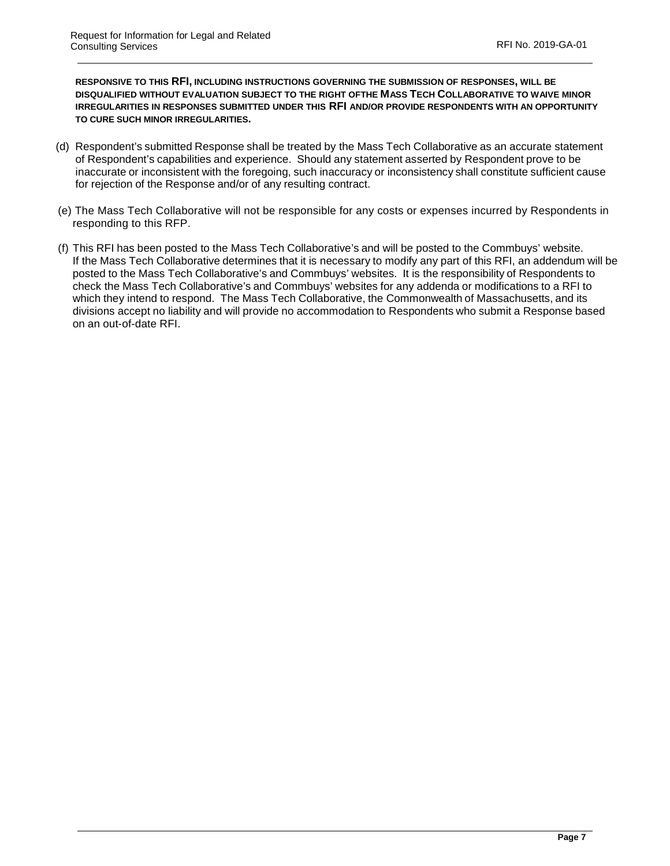**RESPONSIVE TO THIS RFI, INCLUDING INSTRUCTIONS GOVERNING THE SUBMISSION OF RESPONSES, WILL BE DISQUALIFIED WITHOUT EVALUATION SUBJECT TO THE RIGHT OFTHE MASS TECH COLLABORATIVE TO WAIVE MINOR IRREGULARITIES IN RESPONSES SUBMITTED UNDER THIS RFI AND/OR PROVIDE RESPONDENTS WITH AN OPPORTUNITY TO CURE SUCH MINOR IRREGULARITIES.**

- (d) Respondent's submitted Response shall be treated by the Mass Tech Collaborative as an accurate statement of Respondent's capabilities and experience. Should any statement asserted by Respondent prove to be inaccurate or inconsistent with the foregoing, such inaccuracy or inconsistency shall constitute sufficient cause for rejection of the Response and/or of any resulting contract.
- (e) The Mass Tech Collaborative will not be responsible for any costs or expenses incurred by Respondents in responding to this RFP.
- (f) This RFI has been posted to the Mass Tech Collaborative's and will be posted to the Commbuys' website. If the Mass Tech Collaborative determines that it is necessary to modify any part of this RFI, an addendum will be posted to the Mass Tech Collaborative's and Commbuys' websites. It is the responsibility of Respondents to check the Mass Tech Collaborative's and Commbuys' websites for any addenda or modifications to a RFI to which they intend to respond. The Mass Tech Collaborative, the Commonwealth of Massachusetts, and its divisions accept no liability and will provide no accommodation to Respondents who submit a Response based on an out-of-date RFI.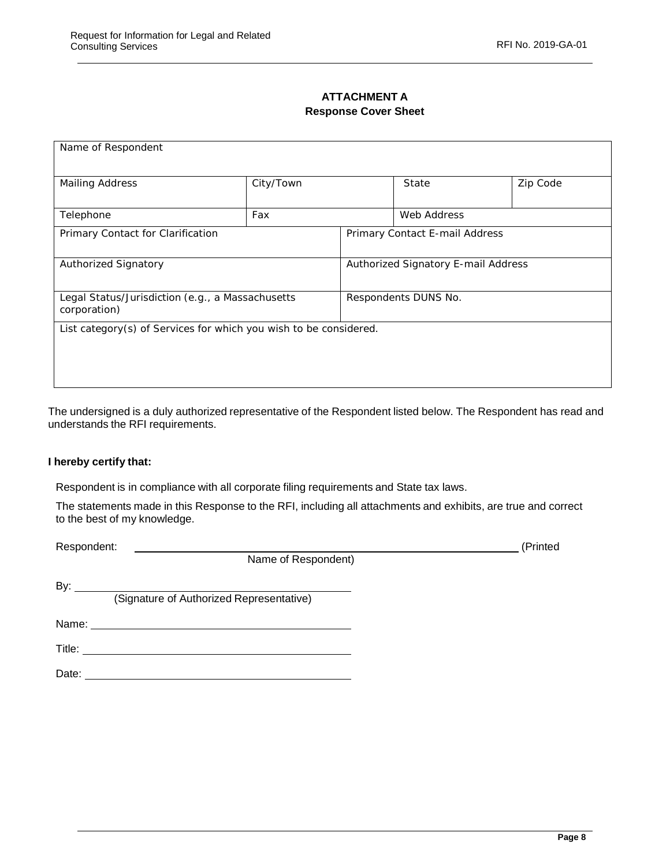# **ATTACHMENT A Response Cover Sheet**

| Name of Respondent                                                |           |                                     |                                |             |  |  |
|-------------------------------------------------------------------|-----------|-------------------------------------|--------------------------------|-------------|--|--|
|                                                                   |           |                                     |                                |             |  |  |
| <b>Mailing Address</b>                                            | City/Town |                                     | State                          | Zip Code    |  |  |
|                                                                   |           |                                     |                                | Web Address |  |  |
| Telephone                                                         |           | Fax                                 |                                |             |  |  |
| Primary Contact for Clarification                                 |           |                                     | Primary Contact E-mail Address |             |  |  |
| <b>Authorized Signatory</b>                                       |           | Authorized Signatory E-mail Address |                                |             |  |  |
| Legal Status/Jurisdiction (e.g., a Massachusetts<br>corporation)  |           | Respondents DUNS No.                |                                |             |  |  |
| List category(s) of Services for which you wish to be considered. |           |                                     |                                |             |  |  |

The undersigned is a duly authorized representative of the Respondent listed below. The Respondent has read and understands the RFI requirements.

#### **I hereby certify that:**

Respondent is in compliance with all corporate filing requirements and State tax laws.

The statements made in this Response to the RFI, including all attachments and exhibits, are true and correct to the best of my knowledge.

| Respondent:                                            |  |  |
|--------------------------------------------------------|--|--|
| Name of Respondent)                                    |  |  |
| By: $\_\_$<br>(Signature of Authorized Representative) |  |  |
|                                                        |  |  |
|                                                        |  |  |
| Date:                                                  |  |  |